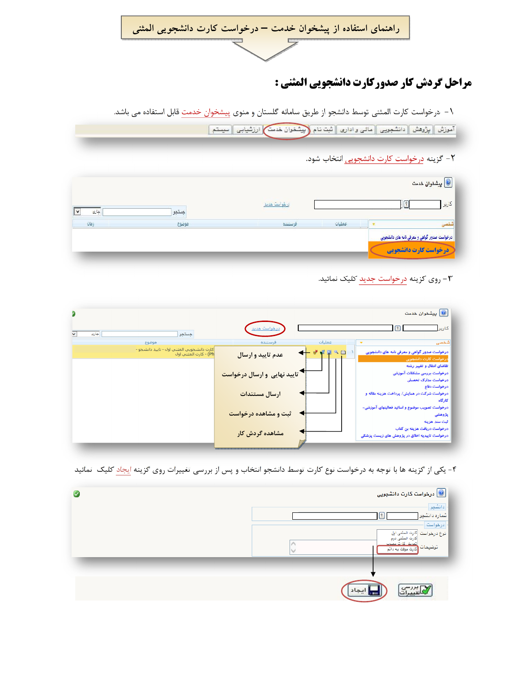راهنمای استفاده از پیشخوان خدمت – درخواست کارت دانشجویی المثنی

## مراحل گردش کار صدورکارت دانشجویی المثنی :

\– درخواست كارت المثنى توسط دانشجو از طريق سامانه گلستان و منوى پيشخوان خدمت قابل استفاده مى باشد.

الموزش | بِرُوهش | دانشجویی | مالی و اداری | ثبت نام (بِیشْخوان خدمت) ارزشیابی | سیستم |

٢- گزينه درخواست كارت دانشجويي انتخاب شود.

|      |       |              |        | يشنوان خدمت $\textcircled{\textcolor{red}{\bullet}}$                                  |
|------|-------|--------------|--------|---------------------------------------------------------------------------------------|
| جازى | جستجو | درخواست حديد |        | كارير                                                                                 |
| زمان | موضوع | فرستنده      | عمليات |                                                                                       |
|      |       |              |        | درخواست صدور گواهی و معرفی نامه های دانشجویی<br><mark>در خواست کار ت دانشجو یی</mark> |
|      |       |              |        |                                                                                       |

## +- روی گزینه درخواست جدید کلیک نمائید.

|                                                                    |                                       | يشخوان خدمت $\textcolor{red}{\bullet}$                                                         |
|--------------------------------------------------------------------|---------------------------------------|------------------------------------------------------------------------------------------------|
| جستجو<br>جارى                                                      | درخواست جديد                          | ণি<br>كارير                                                                                    |
| موضوع                                                              | عمليات<br>فرستنده                     | شخصی                                                                                           |
| کارت دانشجويي المثني اول - تاييد دانشجو -<br>Ph) - کارت المثني اول | 夜回へ曲<br>عدم تاييد و ارسال             | درخواست صدور گواهی و معرفی نامه های دانشجویی<br>درخواست كارت دانشجويي                          |
|                                                                    | <b>به تایید نهایی و ارسال درخواست</b> | تقاضای انتقال و تغییر رشته<br>درخواست بررسی مشکلات آموزشی<br>درخواست مدارک تحصیلی              |
|                                                                    | ارسال مستندات                         | درخواست دفاع<br>درخواست شرکت در همایش/ پرداخت هزینه مقاله و                                    |
|                                                                    | ثبت و مشاهده درخواست                  | کارگاہ<br>درخواست تصویب موضوع و اساتید فعالیتهای آموزشی-<br>پژوهشی                             |
|                                                                    | مشاهده گردش کار                       | ثبت سند هزينه<br>درخواست دریافت هزینه بن کتاب<br>درخواست تاییدیه اخلاق در پژوهش های زیست پزشکی |

۴- یکی از گزینه ها با توجه به درخواست نوع کارت توسط دانشجو انتخاب و پس از بررسی تغییرات روی گزینه <mark>ایجاد کلیک نمائید</mark>

| $\bullet$ | درخواست کارت دانشجویی $\textcircled{\textbf{1}}$                                                                   |
|-----------|--------------------------------------------------------------------------------------------------------------------|
|           | ا دانشجو  <br>شماره دانشجو                                                                                         |
|           | ادرخواست<br>نوع درخواست  كارت المثنى اول<br> كارت المثنيّ دوم<br>التعمش كارث معنوت<br>توضيحات<br>کارت موقت به دائم |
|           |                                                                                                                    |
|           | يب<br>, <u>, , , ,</u>                                                                                             |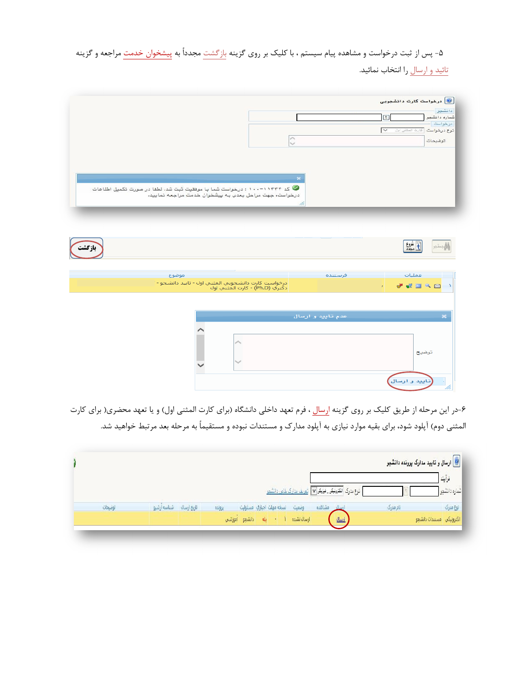۵- پس از ثبت درخواست و مشاهده پیام سیستم ، با کلیک بر روی گزینه <u>بازگشت</u> مجدداً به پیش<del>خوان خدمت</del> مراجعه و گزینه

تائید و ارسال را انتخاب نمائید.

|                                                                                       |    |         |                              | <mark>©</mark> درخواست کارت دانشجویی                |
|---------------------------------------------------------------------------------------|----|---------|------------------------------|-----------------------------------------------------|
|                                                                                       |    |         | $\circ$                      | دانشجوا<br>شماره دانشجو                             |
|                                                                                       |    |         | ▽                            | درخواست<br>ثوع درهواست ا <sup>کارت المثنى ايل</sup> |
|                                                                                       |    |         |                              | توضيحات                                             |
|                                                                                       |    |         |                              |                                                     |
|                                                                                       |    |         |                              |                                                     |
|                                                                                       | ×  |         |                              |                                                     |
| ی ۱۱۴۳۴-۱۰۰ : درخواست شما با موفقیت ثبت شد. لطفا در صورت تکمیل اطلاعات $\bullet$      |    |         |                              |                                                     |
| درخواست، جهت مراحل بعدی به پیشخوان خدمت مراجعه نمایید.                                |    |         |                              |                                                     |
|                                                                                       | /r |         |                              |                                                     |
|                                                                                       |    |         |                              |                                                     |
|                                                                                       |    |         |                              |                                                     |
|                                                                                       |    |         |                              |                                                     |
|                                                                                       |    |         |                              |                                                     |
|                                                                                       |    |         |                              |                                                     |
| موضوع                                                                                 |    | فرستنده | عمليات                       |                                                     |
|                                                                                       |    |         |                              |                                                     |
| درخواست کارت دانشجويي المثني اول - تاييد دانشجو - '<br>دکتري (Ph.D) - کارت المثني اول |    |         | $\mathcal{F}^{\mathbb{R}}$ . | <b>*****</b><br>À                                   |

|  | عدم تایید و ارسال |       | $\overline{\mathbf{x}}$ |
|--|-------------------|-------|-------------------------|
|  |                   |       |                         |
|  |                   |       |                         |
|  |                   | توضيح |                         |
|  |                   |       |                         |

۶-در این مرحله از طریق کلیک بر روی گزینه ا<mark>رسال</mark> ، فرم تعهد داخلی دانشگاه (برای کارت المثنی اول) و یا تعهد محضری( برای کارت المثنی دوم) آپلود شود، برای بقیه موارد نیازی به آپلود مدارک و مستندات نبوده و مستقیماً به مرحله بعد مرتبط خواهید شد.

|         |                         |        |                                  |                                                                |          | .<br>. <mark>. ارسال و تایید مدارک پرونده دانشجو</mark> |
|---------|-------------------------|--------|----------------------------------|----------------------------------------------------------------|----------|---------------------------------------------------------|
|         |                         |        |                                  |                                                                |          | فرآيند                                                  |
|         |                         |        |                                  | نوع مدرک  الکترینیکی_ فیزیکی v   <u>تعریف مدارک خاص دانشمو</u> |          | شماره دانشجو ا                                          |
| توضيحات | تاریخ ارسال شناسه ارشیو | يرونده | انسخه مهلت اجباري امسئوليت       | وضعيت<br>ارساك مشاهده                                          | نام مدرک | نوع مدرک                                                |
|         |                         |        | دانشجو أموزشي<br>۹b<br>$\bullet$ | ارسال<br>ارسالانشده                                            |          | الكترونيكي مستندات دانشجو                               |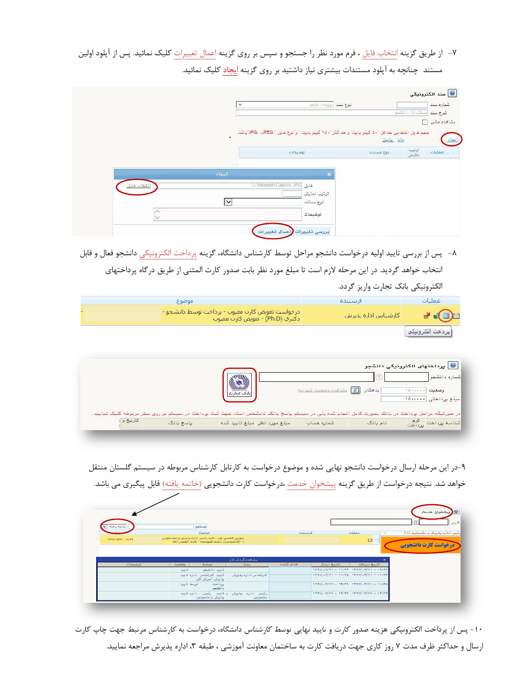- ٧- از طريق گزينه انتخاب فايل ، فرم مورد نظر را جستجو و سپس بر روي گزينه اعمال تغييرات كليک نمائيد. پس از آپلود اولين
	- مستند چنانچه به آپلود مستندات بیشتری نیاز داشتید بر روی گزینه ایجاد کلیک نمائید.

|             | $\checkmark$ | ثوع سئد أبرينده دانشجر                                                                    |                          | شماره سند<br>مستندات دانشمو<br>شرح سند |
|-------------|--------------|-------------------------------------------------------------------------------------------|--------------------------|----------------------------------------|
|             | $\bullet$    | مجم فايل انتخابي هدافل "٥٠ كيلو بايت" و هداكثر "٢٥٠ كيلو بايت " و نوع فايل "JPEG، الباشد. |                          | مشاهده عكس [1]                         |
|             |              | توضيحات                                                                                   | بالله بابين<br>نوع مستند | ترتيب<br>نمايش<br>عمليات               |
|             | أيماذ        |                                                                                           |                          |                                        |
| انتخاب فابل |              | فايل C:\fakepath\Capture.JPG<br>ترتيب نمايش                                               |                          |                                        |
|             | ∣∨           | نوع مستند<br>توضيمات                                                                      |                          |                                        |

٨- پس از بررسي تاييد اوليه درخواست دانشجو مراحل توسط كارشناس دانشگاه، گزينه پرداخت الكترونيكي دانشجو فعال و قابل انتخاب خواهد گردید. در این مرحله لازم است تا مبلغ مورد نظر بابت صدور کارت المثنی از طریق درگاه پرداختهای

الكترونيكي بانك تجارت واريز گردد.

| ا موضوع                                                                               | فاستنده             | اعمليات             |
|---------------------------------------------------------------------------------------|---------------------|---------------------|
| درخواست تعويض كارت معيوب - پرداخت توسط دانشجو - <br>  دکتري (Ph.D) - تعويض کارت معيوب | كارشناس اداره بذيرش |                     |
|                                                                                       |                     | ∥ پرداخت الکترونیکي |

| سطر مربوطه کلیک نمایید. | نقت در سیستم بر روی | بانک تجارت                   | بدهكار    ها   مشاهده وضعيت شهريك<br>در مورتیکه مراهل پرداخت در بانک بصورت کامل انجام شده ولی در سیستم پاسخ بانک نامشخص است، جهت ثبت پردا. | <mark>. برداختهای الکترونیکی دانشجو</mark> | وضعيت المسمدان | شماره دانشجو<br>مبلغ پرداختی ۱۵۰٬۰۰۰ |
|-------------------------|---------------------|------------------------------|--------------------------------------------------------------------------------------------------------------------------------------------|--------------------------------------------|----------------|--------------------------------------|
| تاريخ ود                | باسخ بانک           | مبلغ مورد نظر مبلغ تاييد شده | شماره حساب                                                                                                                                 | نام بانک                                   |                | شناسه پرداخت <sub>پرداخت</sub>       |

۹-در این مرحله ارسال درخواست دانشجو نهایی شده و موضوع درخواست به کارتابل کارشناس مربوطه در سیستم گلستان منتقل خواهد شد. نتیجه درخواست از طریق گزینه پیشخوان خدمت ،درخواست کارت دانشجویی <u>(خاتمه یافته)</u> قابل پیگیری می باشد.

| خاتمه يافته<br>$\checkmark$ | جستجر                                                                                               |                     |             |             |                                                                         | <b>الیشخوان خدمت</b><br>$\sqrt{3}$ |
|-----------------------------|-----------------------------------------------------------------------------------------------------|---------------------|-------------|-------------|-------------------------------------------------------------------------|------------------------------------|
|                             | موضوع                                                                                               |                     | فرستنده     |             | عمليات                                                                  | رئیس اداره پذیرش و مشمولین (۱)     |
| $179V/+7/57 - 19:59$        | جويي المثني اول - تابيد رئيس اداره يذيرش و مشـمولين<br>: - كارشتاسي ارشد تاپيوسته - كارت المثني اول |                     |             |             | $\qquad \qquad \Box$                                                    | <b>درخواست کارت دانشجویی</b>       |
|                             |                                                                                                     |                     |             |             |                                                                         |                                    |
|                             |                                                                                                     | مشاهده گردش کار     |             |             |                                                                         |                                    |
| توضيمات                     | مرحله<br>وضعيت                                                                                      | سمت                 | اقدام كننده | تاريخ ارسال | تاريخ دريافت<br>$1144$ //. $1141 - 1111$ $1144$ $1144$ //. $111 - .411$ |                                    |
|                             | تنابيد<br>تابيد دانشجو<br>تابید کارشناس اداره تابید<br>پذیرش آموزش کل                               | کارشناس اداره بذیرش |             |             | $1144$ //.1/11 = $11.46$ $1144$ //.1/11 = $11.444$                      |                                    |
|                             | توسط تاييد<br>برداخت<br>دانشمو                                                                      |                     |             |             | $1174V/F177 = 19174 1174V/F171 = 11192$                                 |                                    |

۱۰- پس از پرداخت الکترونیکی هزینه صدور کارت و تایید نهایی توسط کارشناس دانشگاه، درخواست به کارشناس مرتبط جهت چاپ کارت ارسال و حداکثر ظرف مدت ۷ روز کاری جهت دریافت کارت به ساختمان معاونت آموزشی ، طبقه ۳، اداره پذیرش مراجعه نمایید.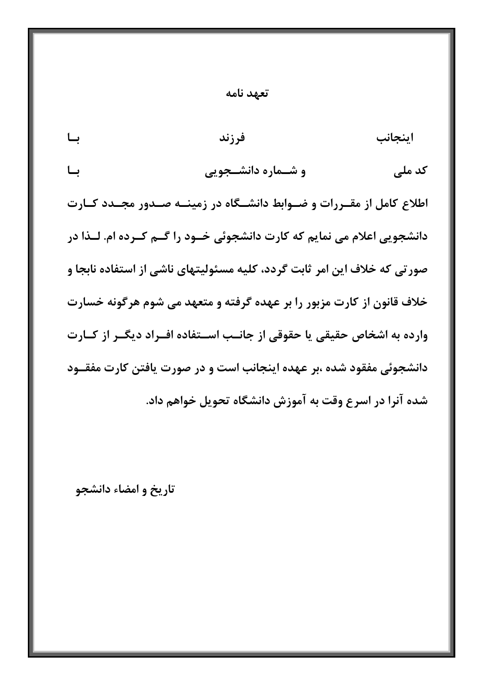|  |  |  | ىعهد نامه |  |
|--|--|--|-----------|--|
|--|--|--|-----------|--|

- اىنجانب ىــا فرزند
- و شــماره دانشــجویی کد ملے ِ ىــا

اطلاع کامل از مقـررات و ضـوابط دانشـگاه در زمینـه صـدور مجـدد کـارت دانشجویی اعلام می نمایم که کارت دانشجوئی خـود را گـم کـرده ام. لــذا در صور تي که خلاف اين امر ثابت گردد، کليه مسئوليتهاي ناشي از استفاده نابجا و خلاف قانون از کارت مزبور را بر عهده گرفته و متعهد می شوم هرگونه خسارت وارده به اشخاص حقیقی یا حقوقی از جانـب اسـتفاده افـراد دیگـر از کـارت دانشجوئی مفقود شده ،بر عهده اینجانب است و در صورت یافتن کارت مفقـود شده آنرا در اسرع وقت به آموزش دانشگاه تحویل خواهم داد.

تاریخ و امضاء دانشجو